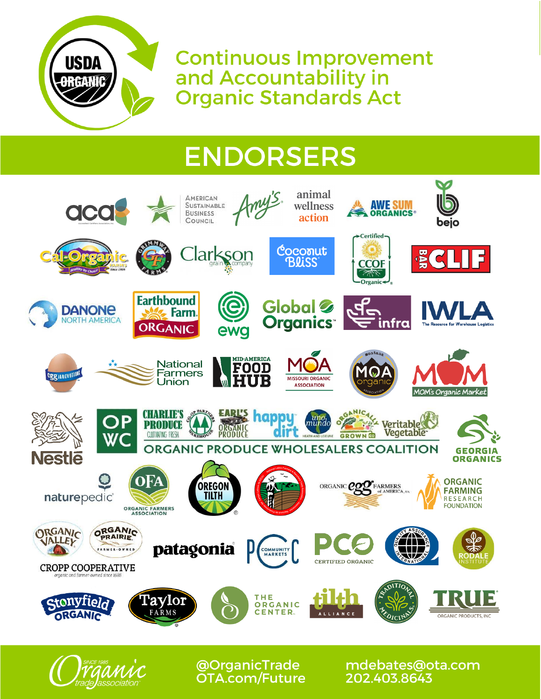

**Continuous Improvement** and Accountability in **Organic Standards Act** 

# **ENDORSERS**





**@OrganicTrade OTA.com/Future**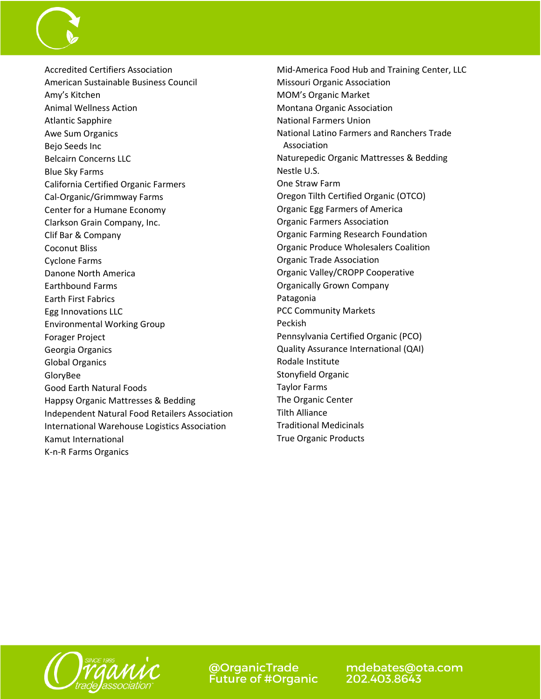

Accredited Certifiers Association American Sustainable Business Council Amy's Kitchen Animal Wellness Action Atlantic Sapphire Awe Sum Organics Bejo Seeds Inc Belcairn Concerns LLC Blue Sky Farms California Certified Organic Farmers Cal-Organic/Grimmway Farms Center for a Humane Economy Clarkson Grain Company, Inc. Clif Bar & Company Coconut Bliss Cyclone Farms Danone North America Earthbound Farms Earth First Fabrics Egg Innovations LLC Environmental Working Group Forager Project Georgia Organics Global Organics GloryBee Good Earth Natural Foods Happsy Organic Mattresses & Bedding Independent Natural Food Retailers Association International Warehouse Logistics Association Kamut International K-n-R Farms Organics

Mid-America Food Hub and Training Center, LLC Missouri Organic Association MOM's Organic Market Montana Organic Association National Farmers Union National Latino Farmers and Ranchers Trade Association Naturepedic Organic Mattresses & Bedding Nestle U.S. One Straw Farm Oregon Tilth Certified Organic (OTCO) Organic Egg Farmers of America Organic Farmers Association Organic Farming Research Foundation Organic Produce Wholesalers Coalition Organic Trade Association Organic Valley/CROPP Cooperative Organically Grown Company Patagonia PCC Community Markets Peckish Pennsylvania Certified Organic (PCO) Quality Assurance International (QAI) Rodale Institute Stonyfield Organic Taylor Farms The Organic Center Tilth Alliance Traditional Medicinals True Organic Products



@OrganicTrade **Future of #Organic**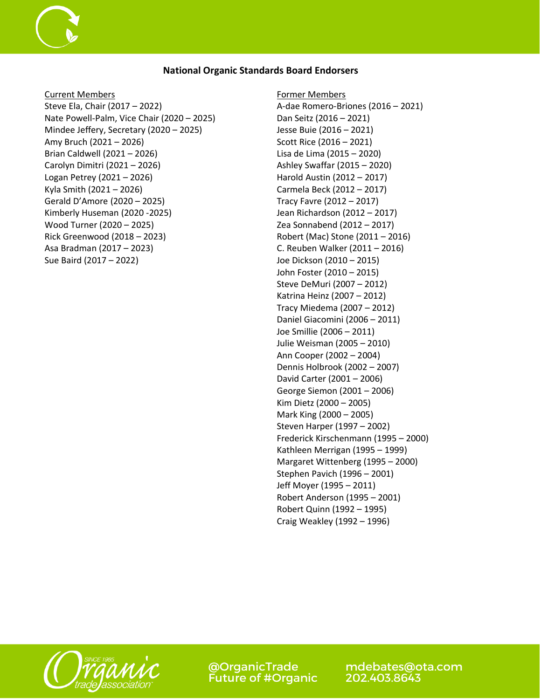#### **National Organic Standards Board Endorsers**

Current Members

Steve Ela, Chair (2017 – 2022) Nate Powell-Palm, Vice Chair (2020 – 2025) Mindee Jeffery, Secretary (2020 – 2025) Amy Bruch (2021 – 2026) Brian Caldwell (2021 – 2026) Carolyn Dimitri (2021 – 2026) Logan Petrey (2021 – 2026) Kyla Smith (2021 – 2026) Gerald D'Amore (2020 – 2025) Kimberly Huseman (2020 -2025) Wood Turner (2020 – 2025) Rick Greenwood (2018 – 2023) Asa Bradman (2017 – 2023) Sue Baird (2017 – 2022)

Former Members A-dae Romero-Briones (2016 – 2021) Dan Seitz (2016 – 2021) Jesse Buie (2016 – 2021) Scott Rice (2016 – 2021) Lisa de Lima (2015 – 2020) Ashley Swaffar (2015 – 2020) Harold Austin (2012 – 2017) Carmela Beck (2012 – 2017) Tracy Favre (2012 – 2017) Jean Richardson (2012 – 2017) Zea Sonnabend (2012 – 2017) Robert (Mac) Stone (2011 – 2016) C. Reuben Walker (2011 – 2016) Joe Dickson (2010 – 2015) John Foster (2010 – 2015) Steve DeMuri (2007 – 2012) Katrina Heinz (2007 – 2012) Tracy Miedema (2007 – 2012) Daniel Giacomini (2006 – 2011) Joe Smillie (2006 – 2011) Julie Weisman (2005 – 2010) Ann Cooper (2002 – 2004) Dennis Holbrook (2002 – 2007) David Carter (2001 – 2006) George Siemon (2001 – 2006) Kim Dietz (2000 – 2005) Mark King (2000 – 2005) Steven Harper (1997 – 2002) Frederick Kirschenmann (1995 – 2000) Kathleen Merrigan (1995 – 1999) Margaret Wittenberg (1995 – 2000) Stephen Pavich (1996 – 2001) Jeff Moyer (1995 – 2011) Robert Anderson (1995 – 2001) Robert Quinn (1992 – 1995) Craig Weakley (1992 – 1996)



@OrganicTrade **Future of #Organic**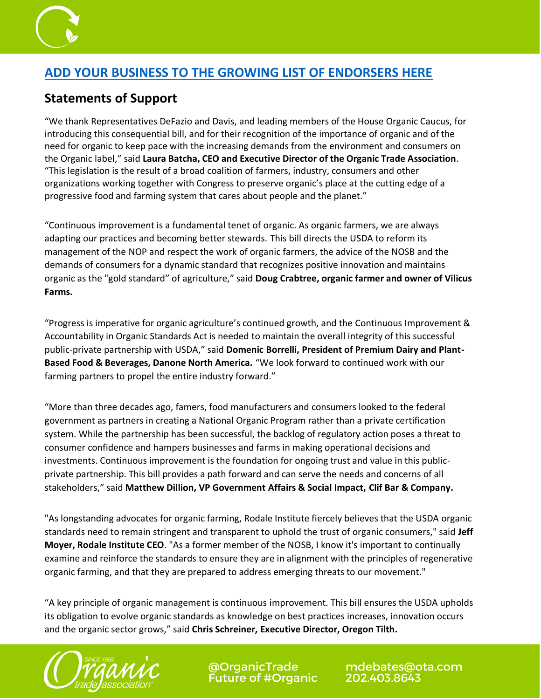

### **[ADD YOUR BUSINESS TO THE GROWING LIST OF ENDORSERS HERE](https://forms.office.com/pages/responsepage.aspx?id=YM1-q1WslU20U0HEyo0fMXYS24wob9FLp-KFm3rxlLVUMkgzREFVWTFHVVE0RFExTTI3N1AwNUpYQS4u&web=1&wdLOR=c84A6C61A-BF78-4800-B673-224FB1ACB76F)**

## **Statements of Support**

"We thank Representatives DeFazio and Davis, and leading members of the House Organic Caucus, for introducing this consequential bill, and for their recognition of the importance of organic and of the need for organic to keep pace with the increasing demands from the environment and consumers on the Organic label," said **Laura Batcha, CEO and Executive Director of the Organic Trade Association**. "This legislation is the result of a broad coalition of farmers, industry, consumers and other organizations working together with Congress to preserve organic's place at the cutting edge of a progressive food and farming system that cares about people and the planet."

"Continuous improvement is a fundamental tenet of organic. As organic farmers, we are always adapting our practices and becoming better stewards. This bill directs the USDA to reform its management of the NOP and respect the work of organic farmers, the advice of the NOSB and the demands of consumers for a dynamic standard that recognizes positive innovation and maintains organic as the "gold standard" of agriculture," said **Doug Crabtree, organic farmer and owner of Vilicus Farms.** 

"Progress is imperative for organic agriculture's continued growth, and the Continuous Improvement & Accountability in Organic Standards Act is needed to maintain the overall integrity of this successful public-private partnership with USDA," said **Domenic Borrelli, President of Premium Dairy and Plant-Based Food & Beverages, Danone North America.** "We look forward to continued work with our farming partners to propel the entire industry forward."

"More than three decades ago, famers, food manufacturers and consumers looked to the federal government as partners in creating a National Organic Program rather than a private certification system. While the partnership has been successful, the backlog of regulatory action poses a threat to consumer confidence and hampers businesses and farms in making operational decisions and investments. Continuous improvement is the foundation for ongoing trust and value in this publicprivate partnership. This bill provides a path forward and can serve the needs and concerns of all stakeholders," said **Matthew Dillion, VP Government Affairs & Social Impact, Clif Bar & Company.**

"As longstanding advocates for organic farming, Rodale Institute fiercely believes that the USDA organic standards need to remain stringent and transparent to uphold the trust of organic consumers," said **Jeff Moyer, Rodale Institute CEO**. "As a former member of the NOSB, I know it's important to continually examine and reinforce the standards to ensure they are in alignment with the principles of regenerative organic farming, and that they are prepared to address emerging threats to our movement."

"A key principle of organic management is continuous improvement. This bill ensures the USDA upholds its obligation to evolve organic standards as knowledge on best practices increases, innovation occurs and the organic sector grows," said **Chris Schreiner, Executive Director, Oregon Tilth.**



**@OrganicTrade Future of #Organic**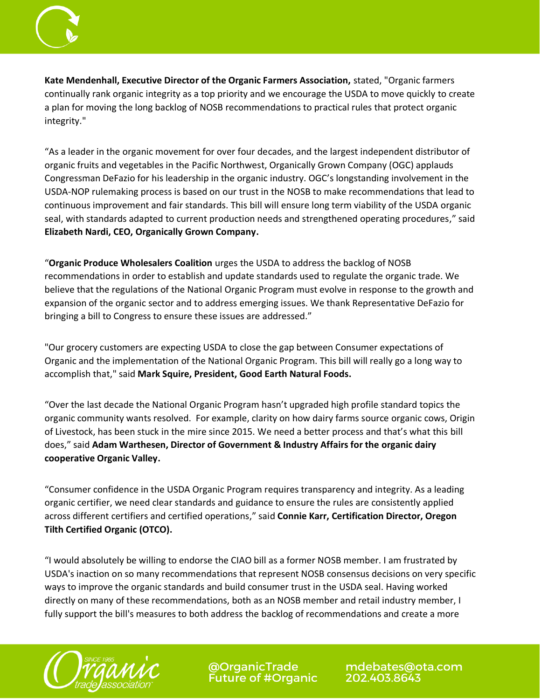

**Kate Mendenhall, Executive Director of the Organic Farmers Association,** stated, "Organic farmers continually rank organic integrity as a top priority and we encourage the USDA to move quickly to create a plan for moving the long backlog of NOSB recommendations to practical rules that protect organic integrity."

"As a leader in the organic movement for over four decades, and the largest independent distributor of organic fruits and vegetables in the Pacific Northwest, Organically Grown Company (OGC) applauds Congressman DeFazio for his leadership in the organic industry. OGC's longstanding involvement in the USDA-NOP rulemaking process is based on our trust in the NOSB to make recommendations that lead to continuous improvement and fair standards. This bill will ensure long term viability of the USDA organic seal, with standards adapted to current production needs and strengthened operating procedures," said **Elizabeth Nardi, CEO, Organically Grown Company.**

"**Organic Produce Wholesalers Coalition** urges the USDA to address the backlog of NOSB recommendations in order to establish and update standards used to regulate the organic trade. We believe that the regulations of the National Organic Program must evolve in response to the growth and expansion of the organic sector and to address emerging issues. We thank Representative DeFazio for bringing a bill to Congress to ensure these issues are addressed."

"Our grocery customers are expecting USDA to close the gap between Consumer expectations of Organic and the implementation of the National Organic Program. This bill will really go a long way to accomplish that," said **Mark Squire, President, Good Earth Natural Foods.**

"Over the last decade the National Organic Program hasn't upgraded high profile standard topics the organic community wants resolved. For example, clarity on how dairy farms source organic cows, Origin of Livestock, has been stuck in the mire since 2015. We need a better process and that's what this bill does," said **Adam Warthesen, Director of Government & Industry Affairs for the organic dairy cooperative Organic Valley.**

"Consumer confidence in the USDA Organic Program requires transparency and integrity. As a leading organic certifier, we need clear standards and guidance to ensure the rules are consistently applied across different certifiers and certified operations," said **Connie Karr, Certification Director, Oregon Tilth Certified Organic (OTCO).**

"I would absolutely be willing to endorse the CIAO bill as a former NOSB member. I am frustrated by USDA's inaction on so many recommendations that represent NOSB consensus decisions on very specific ways to improve the organic standards and build consumer trust in the USDA seal. Having worked directly on many of these recommendations, both as an NOSB member and retail industry member, I fully support the bill's measures to both address the backlog of recommendations and create a more



@OrganicTrade<br>Future of #Organic